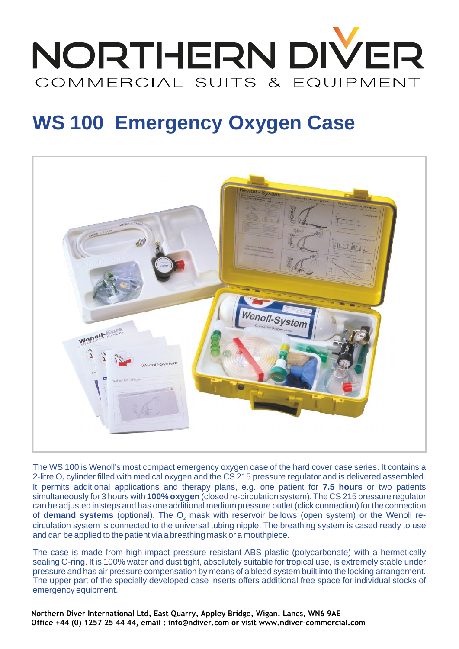

## **WS 100 Emergency Oxygen Case**



The WS 100 is Wenoll's most compact emergency oxygen case of the hard cover case series. It contains a simultaneously for 3 hours with **100% oxygen** (closed re-circulation system). The CS 215 pressure regulator can be adjusted in steps and has one additional medium pressure outlet (click connection) for the connection The WS 100 is Wenoll's most compact emergency oxygen case of the hard cover case series. It contains a<br>2-litre O<sub>2</sub> cylinder filled with medical oxygen and the CS 215 pressure regulator and is delivered assembled.<br>It perm circulation system is connected to the universal tubing nipple. The breathing system is cased ready to use and can be applied to the patient via a breathing mask or a mouthpiece. 2-litre O<sub>2</sub> cylinder filled with medical oxygen and the CS 215 pressure regulator and is delivered assembled. **demand systems** (optional). The O<sub>2</sub> mas **7.5 hours**

The case is made from high-impact pressure resistant ABS plastic (polycarbonate) with a hermetically sealing O-ring. It is 100% water and dust tight, absolutely suitable for tropical use, is extremely stable under pressure and has air pressure compensation by means of a bleed system built into the locking arrangement. and can be applied to the patient via a breathing mask or a mouthpiece.<br>The case is made from high-impact pressure resistant ABS plastic (polycarbonate) with a hermetically<br>sealing O-ring. It is 100% water and dust tight, emergency equipment.

**Northern Diver International Ltd, East Quarry, Appley Bridge, Wigan. Lancs, WN6 9AE Office +44 (0) 1257 25 44 44, email : info@ndiver.com or visit www.ndiver-commercial.com**